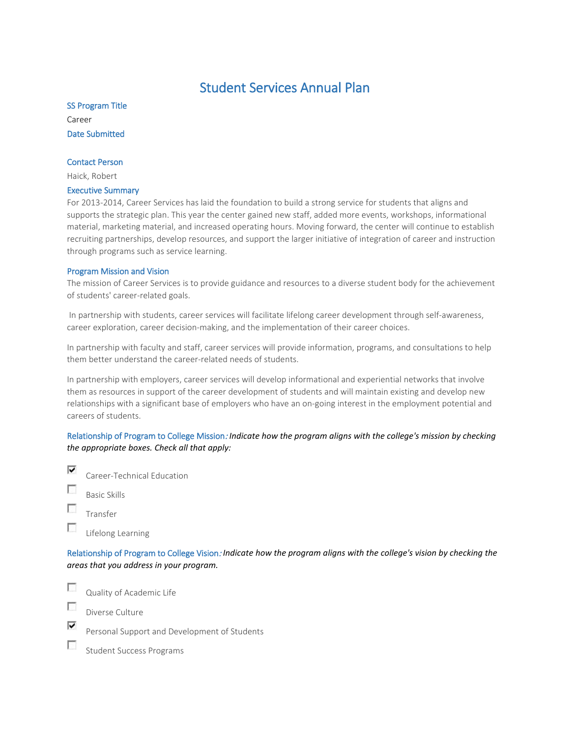# Student Services Annual Plan

SS Program Title Career Date Submitted

#### Contact Person

Haick, Robert

#### Executive Summary

For 2013-2014, Career Services has laid the foundation to build a strong service for students that aligns and supports the strategic plan. This year the center gained new staff, added more events, workshops, informational material, marketing material, and increased operating hours. Moving forward, the center will continue to establish recruiting partnerships, develop resources, and support the larger initiative of integration of career and instruction through programs such as service learning.

#### Program Mission and Vision

The mission of Career Services is to provide guidance and resources to a diverse student body for the achievement of students' career-related goals.

In partnership with students, career services will facilitate lifelong career development through self-awareness, career exploration, career decision-making, and the implementation of their career choices.

In partnership with faculty and staff, career services will provide information, programs, and consultations to help them better understand the career-related needs of students.

In partnership with employers, career services will develop informational and experiential networks that involve them as resources in support of the career development of students and will maintain existing and develop new relationships with a significant base of employers who have an on-going interest in the employment potential and careers of students.

# Relationship of Program to College Mission: *Indicate how the program aligns with the college's mission by checking the appropriate boxes. Check all that apply:*

- ⊽ Career-Technical Education г Basic Skills
- г Transfer
- п Lifelong Learning

Relationship of Program to College Vision: *Indicate how the program aligns with the college's vision by checking the areas that you address in your program.*

п

Quality of Academic Life

Π

г

Diverse Culture

⊽

Personal Support and Development of Students

Student Success Programs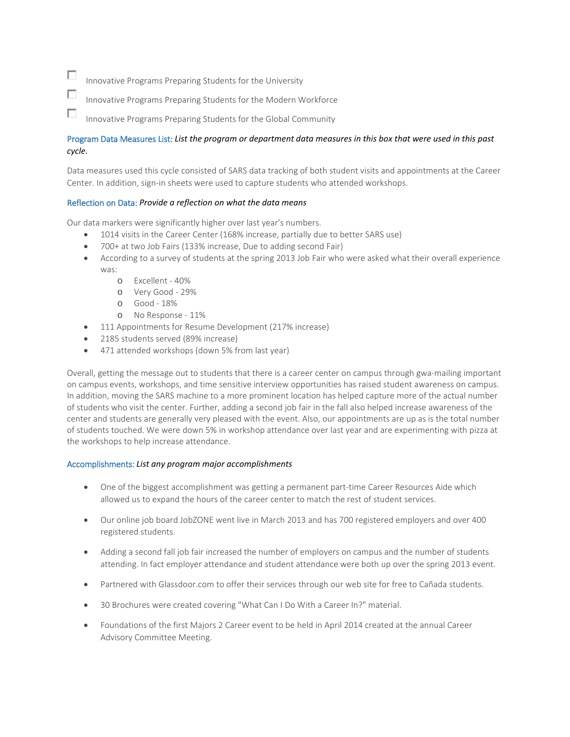$\overline{a}$ Innovative Programs Preparing Students for the University

- $\overline{\phantom{a}}$ Innovative Programs Preparing Students for the Modern Workforce
- г Innovative Programs Preparing Students for the Global Community

# Program Data Measures List: *List the program or department data measures in this box that were used in this past cycle.*

Data measures used this cycle consisted of SARS data tracking of both student visits and appointments at the Career Center. In addition, sign-in sheets were used to capture students who attended workshops.

#### Reflection on Data: *Provide a reflection on what the data means*

Our data markers were significantly higher over last year's numbers.

- 1014 visits in the Career Center (168% increase, partially due to better SARS use)
- 700+ at two Job Fairs (133% increase, Due to adding second Fair)
- According to a survey of students at the spring 2013 Job Fair who were asked what their overall experience was:
	- o Excellent 40%
	- o Very Good 29%
	- o Good 18%
	- o No Response 11%
- 111 Appointments for Resume Development (217% increase)
- 2185 students served (89% increase)
- 471 attended workshops (down 5% from last year)

Overall, getting the message out to students that there is a career center on campus through gwa-mailing important on campus events, workshops, and time sensitive interview opportunities has raised student awareness on campus. In addition, moving the SARS machine to a more prominent location has helped capture more of the actual number of students who visit the center. Further, adding a second job fair in the fall also helped increase awareness of the center and students are generally very pleased with the event. Also, our appointments are up as is the total number of students touched. We were down 5% in workshop attendance over last year and are experimenting with pizza at the workshops to help increase attendance.

#### Accomplishments: *List any program major accomplishments*

- One of the biggest accomplishment was getting a permanent part-time Career Resources Aide which allowed us to expand the hours of the career center to match the rest of student services.
- Our online job board JobZONE went live in March 2013 and has 700 registered employers and over 400 registered students.
- Adding a second fall job fair increased the number of employers on campus and the number of students attending. In fact employer attendance and student attendance were both up over the spring 2013 event.
- Partnered with Glassdoor.com to offer their services through our web site for free to Cañada students.
- 30 Brochures were created covering "What Can I Do With a Career In?" material.
- Foundations of the first Majors 2 Career event to be held in April 2014 created at the annual Career Advisory Committee Meeting.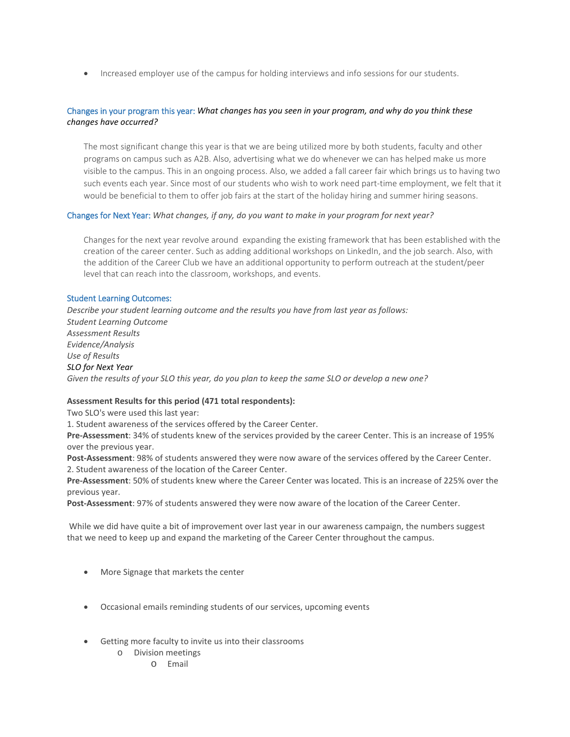• Increased employer use of the campus for holding interviews and info sessions for our students.

# Changes in your program this year: *What changes has you seen in your program, and why do you think these changes have occurred?*

The most significant change this year is that we are being utilized more by both students, faculty and other programs on campus such as A2B. Also, advertising what we do whenever we can has helped make us more visible to the campus. This in an ongoing process. Also, we added a fall career fair which brings us to having two such events each year. Since most of our students who wish to work need part-time employment, we felt that it would be beneficial to them to offer job fairs at the start of the holiday hiring and summer hiring seasons.

## Changes for Next Year: *What changes, if any, do you want to make in your program for next year?*

Changes for the next year revolve around expanding the existing framework that has been established with the creation of the career center. Such as adding additional workshops on LinkedIn, and the job search. Also, with the addition of the Career Club we have an additional opportunity to perform outreach at the student/peer level that can reach into the classroom, workshops, and events.

#### Student Learning Outcomes:

*Describe your student learning outcome and the results you have from last year as follows: Student Learning Outcome Assessment Results Evidence/Analysis Use of Results SLO for Next Year Given the results of your SLO this year, do you plan to keep the same SLO or develop a new one?*

## **Assessment Results for this period (471 total respondents):**

Two SLO's were used this last year:

1. Student awareness of the services offered by the Career Center.

**Pre-Assessment**: 34% of students knew of the services provided by the career Center. This is an increase of 195% over the previous year.

**Post-Assessment**: 98% of students answered they were now aware of the services offered by the Career Center. 2. Student awareness of the location of the Career Center.

**Pre-Assessment**: 50% of students knew where the Career Center was located. This is an increase of 225% over the previous year.

**Post-Assessment**: 97% of students answered they were now aware of the location of the Career Center.

While we did have quite a bit of improvement over last year in our awareness campaign, the numbers suggest that we need to keep up and expand the marketing of the Career Center throughout the campus.

- More Signage that markets the center
- Occasional emails reminding students of our services, upcoming events
- Getting more faculty to invite us into their classrooms
	- o Division meetings
		- o Email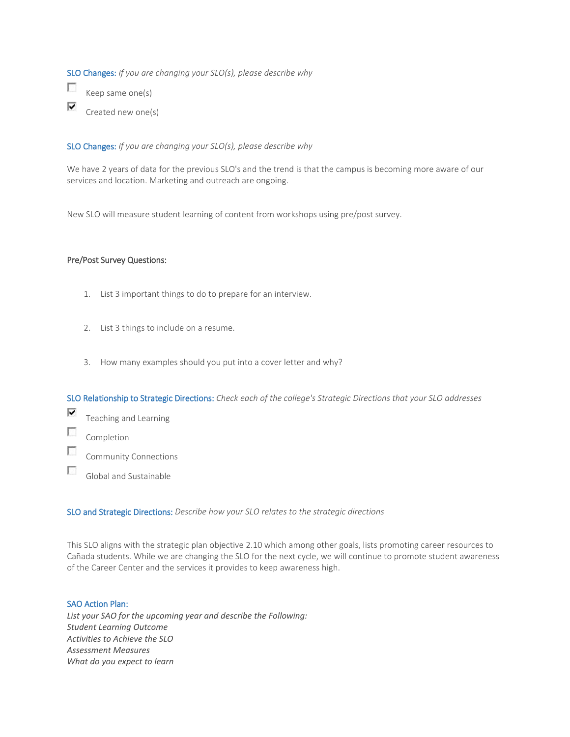SLO Changes: *If you are changing your SLO(s), please describe why*

 $\overline{\mathcal{L}}$ Keep same one(s) ⊽ Created new one(s)

SLO Changes: *If you are changing your SLO(s), please describe why*

We have 2 years of data for the previous SLO's and the trend is that the campus is becoming more aware of our services and location. Marketing and outreach are ongoing.

New SLO will measure student learning of content from workshops using pre/post survey.

#### Pre/Post Survey Questions:

- 1. List 3 important things to do to prepare for an interview.
- 2. List 3 things to include on a resume.
- 3. How many examples should you put into a cover letter and why?

SLO Relationship to Strategic Directions: *Check each of the college's Strategic Directions that your SLO addresses*

- ⊽ Teaching and Learning
- $\sim$ Completion
- $\overline{\phantom{a}}$ Community Connections
- $\overline{\phantom{a}}$ Global and Sustainable

SLO and Strategic Directions: *Describe how your SLO relates to the strategic directions*

This SLO aligns with the strategic plan objective 2.10 which among other goals, lists promoting career resources to Cañada students. While we are changing the SLO for the next cycle, we will continue to promote student awareness of the Career Center and the services it provides to keep awareness high.

## SAO Action Plan:

*List your SAO for the upcoming year and describe the Following: Student Learning Outcome Activities to Achieve the SLO Assessment Measures What do you expect to learn*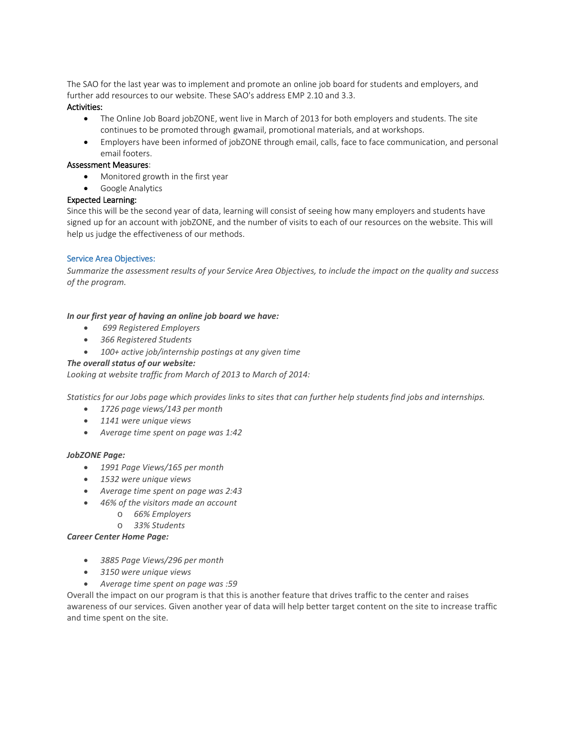The SAO for the last year was to implement and promote an online job board for students and employers, and further add resources to our website. These SAO's address EMP 2.10 and 3.3.

# Activities:

- The Online Job Board jobZONE, went live in March of 2013 for both employers and students. The site continues to be promoted through gwamail, promotional materials, and at workshops.
- Employers have been informed of jobZONE through email, calls, face to face communication, and personal email footers.

## Assessment Measures:

- Monitored growth in the first year
- Google Analytics

# Expected Learning:

Since this will be the second year of data, learning will consist of seeing how many employers and students have signed up for an account with jobZONE, and the number of visits to each of our resources on the website. This will help us judge the effectiveness of our methods.

# Service Area Objectives:

*Summarize the assessment results of your Service Area Objectives, to include the impact on the quality and success of the program.*

# *In our first year of having an online job board we have:*

- *699 Registered Employers*
- *366 Registered Students*
- *100+ active job/internship postings at any given time*

# *The overall status of our website:*

*Looking at website traffic from March of 2013 to March of 2014:*

*Statistics for our Jobs page which provides links to sites that can further help students find jobs and internships.*

- *1726 page views/143 per month*
- *1141 were unique views*
- *Average time spent on page was 1:42*

## *JobZONE Page:*

- *1991 Page Views/165 per month*
- *1532 were unique views*
- *Average time spent on page was 2:43*
- *46% of the visitors made an account*
	- o *66% Employers*
	- o *33% Students*

## *Career Center Home Page:*

- *3885 Page Views/296 per month*
- *3150 were unique views*
- *Average time spent on page was :59*

Overall the impact on our program is that this is another feature that drives traffic to the center and raises awareness of our services. Given another year of data will help better target content on the site to increase traffic and time spent on the site.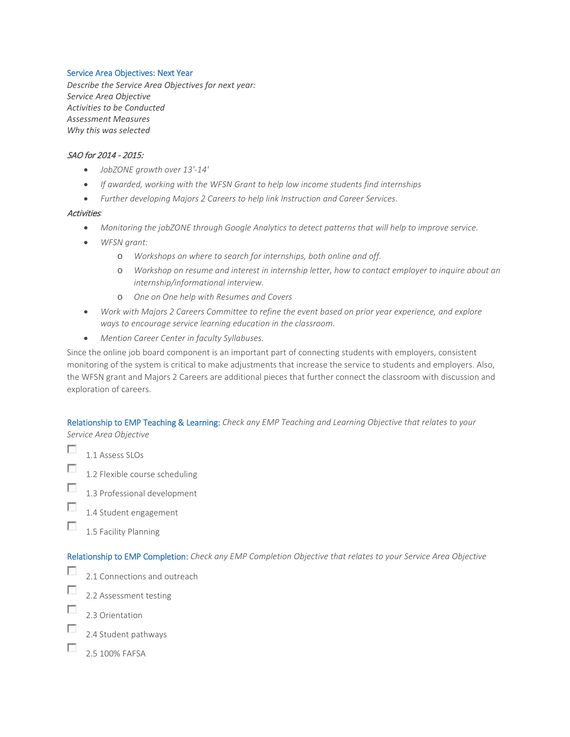#### Service Area Objectives: Next Year

*Describe the Service Area Objectives for next year: Service Area Objective Activities to be Conducted Assessment Measures Why this was selected*

## SAO for 2014 - 2015:

- *JobZONE growth over 13'-14'*
- *If awarded, working with the WFSN Grant to help low income students find internships*
- *Further developing Majors 2 Careers to help link Instruction and Career Services.*

#### Activities*:*

- *Monitoring the jobZONE through Google Analytics to detect patterns that will help to improve service.*
- *WFSN grant:*
	- o *Workshops on where to search for internships, both online and off.*
	- o *Workshop on resume and interest in internship letter, how to contact employer to inquire about an internship/informational interview.*
	- o *One on One help with Resumes and Covers*
- *Work with Majors 2 Careers Committee to refine the event based on prior year experience, and explore ways to encourage service learning education in the classroom.*
- *Mention Career Center in faculty Syllabuses.*

Since the online job board component is an important part of connecting students with employers, consistent monitoring of the system is critical to make adjustments that increase the service to students and employers. Also, the WFSN grant and Majors 2 Careers are additional pieces that further connect the classroom with discussion and exploration of careers.

Relationship to EMP Teaching & Learning: *Check any EMP Teaching and Learning Objective that relates to your Service Area Objective*

- п 1.1 Assess SLOs  $\overline{\mathcal{L}}$
- 1.2 Flexible course scheduling
- П 1.3 Professional development
- Г 1.4 Student engagement
- п 1.5 Facility Planning

Relationship to EMP Completion: *Check any EMP Completion Objective that relates to your Service Area Objective*

- F 2.1 Connections and outreach
- $\overline{\mathcal{L}}$ 2.2 Assessment testing
- T 2.3 Orientation
- П 2.4 Student pathways
- Г 2.5 100% FAFSA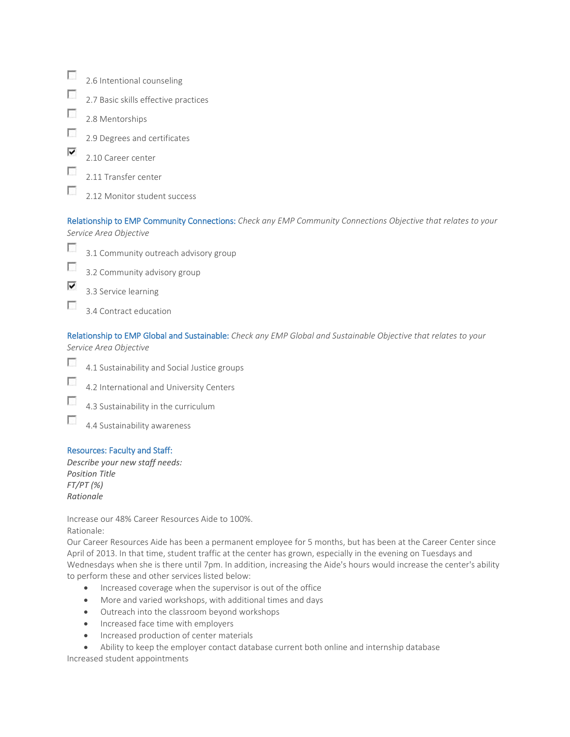|   | 2.6 Intentional counseling           |
|---|--------------------------------------|
|   | 2.7 Basic skills effective practices |
|   | 2.8 Mentorships                      |
|   | 2.9 Degrees and certificates         |
| է | 2.10 Career center                   |
|   | 2.11 Transfer center                 |
|   | 2.12 Monitor student success         |

Relationship to EMP Community Connections: *Check any EMP Community Connections Objective that relates to your Service Area Objective*



⊽

 $\overline{\mathcal{L}}$ 3.2 Community advisory group

3.3 Service learning

г 3.4 Contract education

Relationship to EMP Global and Sustainable: *Check any EMP Global and Sustainable Objective that relates to your Service Area Objective*

- **P** 4.1 Sustainability and Social Justice groups
- $\overline{\phantom{a}}$ 4.2 International and University Centers
- T 4.3 Sustainability in the curriculum
- п 4.4 Sustainability awareness

## Resources: Faculty and Staff:

*Describe your new staff needs: Position Title FT/PT (%) Rationale*

Increase our 48% Career Resources Aide to 100%. Rationale:

Our Career Resources Aide has been a permanent employee for 5 months, but has been at the Career Center since April of 2013. In that time, student traffic at the center has grown, especially in the evening on Tuesdays and Wednesdays when she is there until 7pm. In addition, increasing the Aide's hours would increase the center's ability to perform these and other services listed below:

- Increased coverage when the supervisor is out of the office
- More and varied workshops, with additional times and days
- Outreach into the classroom beyond workshops
- Increased face time with employers
- Increased production of center materials
- Ability to keep the employer contact database current both online and internship database

Increased student appointments